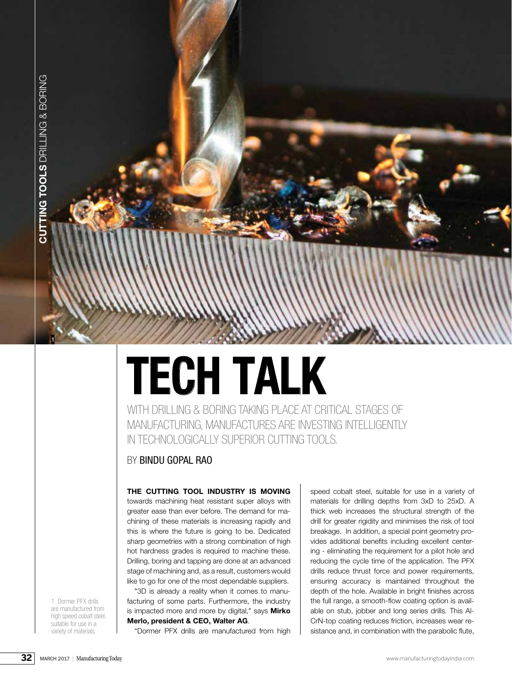

# WITH DRILLING & BORING TAKING PLACE AT CRITICAL STAGES OF MANUFACTURING, MANUFACTURES ARE INVESTING INTELLIGENTLY IN TECHNOLOGICALLY SUPERIOR CUTTING TOOLS. **TECH TALK**

# BY BINDU GOPAL RAO

## **THE CUTTING TOOL INDUSTRY IS MOVING**

towards machining heat resistant super alloys with greater ease than ever before. The demand for machining of these materials is increasing rapidly and this is where the future is going to be. Dedicated sharp geometries with a strong combination of high hot hardness grades is required to machine these. Drilling, boring and tapping are done at an advanced stage of machining and, as a result, customers would like to go for one of the most dependable suppliers.

"3D is already a reality when it comes to manufacturing of some parts. Furthermore, the industry is impacted more and more by digital," says **Mirko Merlo, president & CEO, Walter AG**.

"Dormer PFX drills are manufactured from high

speed cobalt steel, suitable for use in a variety of materials for drilling depths from 3xD to 25xD. A thick web increases the structural strength of the drill for greater rigidity and minimises the risk of tool breakage. In addition, a special point geometry provides additional benefits including excellent centering - eliminating the requirement for a pilot hole and reducing the cycle time of the application. The PFX drills reduce thrust force and power requirements, ensuring accuracy is maintained throughout the depth of the hole. Available in bright finishes across the full range, a smooth-flow coating option is available on stub, jobber and long series drills. This Al-CrN-top coating reduces friction, increases wear resistance and, in combination with the parabolic flute,

1. Dormer PFX drills are manufactured from high speed cobalt steel, suitable for use in a variety of materials.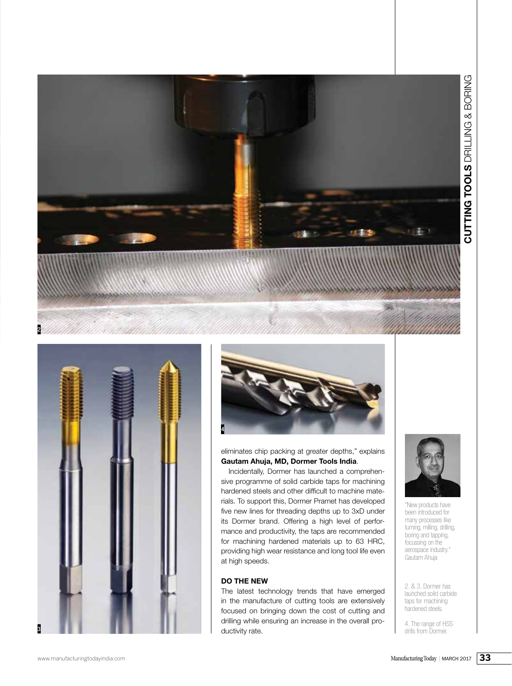





eliminates chip packing at greater depths," explains **Gautam Ahuja, MD, Dormer Tools India**.

Incidentally, Dormer has launched a comprehensive programme of solid carbide taps for machining hardened steels and other difficult to machine materials. To support this, Dormer Pramet has developed five new lines for threading depths up to 3xD under its Dormer brand. Offering a high level of performance and productivity, the taps are recommended for machining hardened materials up to 63 HRC, providing high wear resistance and long tool life even at high speeds.

#### **DO THE NEW**

The latest technology trends that have emerged in the manufacture of cutting tools are extensively focused on bringing down the cost of cutting and drilling while ensuring an increase in the overall productivity rate.



"New products have been introduced for many processes like turning, milling, drilling, boring and tapping, focussing on the aerospace industry." Gautam Ahuja

2. & 3. Dormer has launched solid carbide taps for machining hardened steels.

4. The range of HSS drills from Dormer.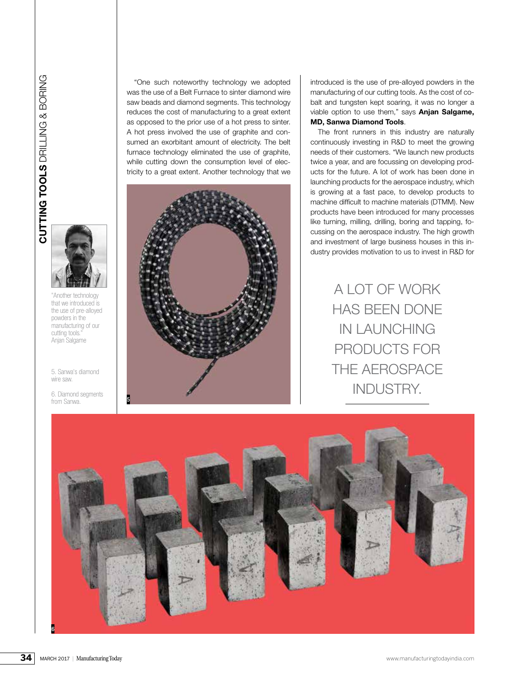

"Another technology that we introduced is the use of pre-alloyed powders in the manufacturing of our cutting tools. Anjan Salgame

5. Sanwa's diamond wire saw.

6. Diamond segments from Sanwa.

"One such noteworthy technology we adopted was the use of a Belt Furnace to sinter diamond wire saw beads and diamond segments. This technology reduces the cost of manufacturing to a great extent as opposed to the prior use of a hot press to sinter. A hot press involved the use of graphite and consumed an exorbitant amount of electricity. The belt furnace technology eliminated the use of graphite, while cutting down the consumption level of electricity to a great extent. Another technology that we



introduced is the use of pre-alloyed powders in the manufacturing of our cutting tools. As the cost of cobalt and tungsten kept soaring, it was no longer a viable option to use them," says **Anjan Salgame, MD, Sanwa Diamond Tools**.

The front runners in this industry are naturally continuously investing in R&D to meet the growing needs of their customers. "We launch new products twice a year, and are focussing on developing products for the future. A lot of work has been done in launching products for the aerospace industry, which is growing at a fast pace, to develop products to machine difficult to machine materials (DTMM). New products have been introduced for many processes like turning, milling, drilling, boring and tapping, focussing on the aerospace industry. The high growth and investment of large business houses in this industry provides motivation to us to invest in R&D for

> A LOT OF WORK HAS BEEN DONE IN LAUNCHING PRODUCTS FOR THE AEROSPACE INDUSTRY.

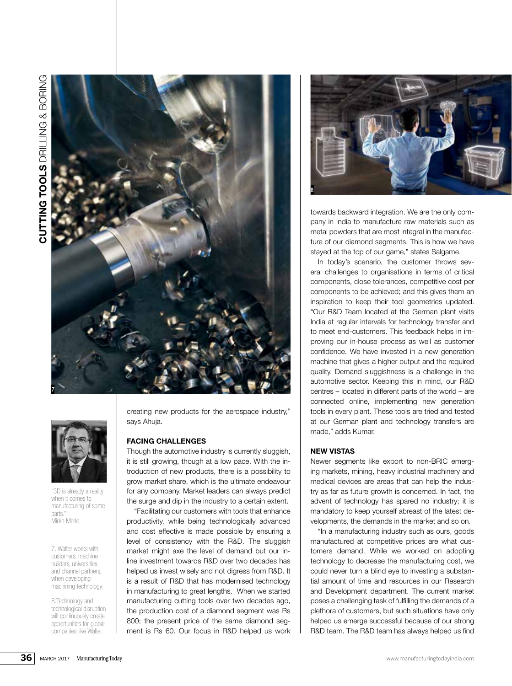

"3D is already a reality when it comes to manufacturing of some parts." Mirko Merlo

7. Walter works with customers, machine builders, universities and channel partners, when developing machining technology.

8.Technology and technological disruption will continuously create opportunities for global companies like Walter.

creating new products for the aerospace industry," says Ahuja.

#### **FACING CHALLENGES**

Though the automotive industry is currently sluggish, it is still growing, though at a low pace. With the introduction of new products, there is a possibility to grow market share, which is the ultimate endeavour for any company. Market leaders can always predict the surge and dip in the industry to a certain extent.

"Facilitating our customers with tools that enhance productivity, while being technologically advanced and cost effective is made possible by ensuring a level of consistency with the R&D. The sluggish market might axe the level of demand but our inline investment towards R&D over two decades has helped us invest wisely and not digress from R&D. It is a result of R&D that has modernised technology in manufacturing to great lengths. When we started manufacturing cutting tools over two decades ago, the production cost of a diamond segment was Rs 800; the present price of the same diamond segment is Rs 60. Our focus in R&D helped us work



towards backward integration. We are the only company in India to manufacture raw materials such as metal powders that are most integral in the manufacture of our diamond segments. This is how we have stayed at the top of our game," states Salgame.

In today's scenario, the customer throws several challenges to organisations in terms of critical components, close tolerances, competitive cost per components to be achieved; and this gives them an inspiration to keep their tool geometries updated. "Our R&D Team located at the German plant visits India at regular intervals for technology transfer and to meet end-customers. This feedback helps in improving our in-house process as well as customer confidence. We have invested in a new generation machine that gives a higher output and the required quality. Demand sluggishness is a challenge in the automotive sector. Keeping this in mind, our R&D centres – located in different parts of the world – are connected online, implementing new generation tools in every plant. These tools are tried and tested at our German plant and technology transfers are made," adds Kumar.

#### **NEW VISTAS**

Newer segments like export to non-BRIC emerging markets, mining, heavy industrial machinery and medical devices are areas that can help the industry as far as future growth is concerned. In fact, the advent of technology has spared no industry; it is mandatory to keep yourself abreast of the latest developments, the demands in the market and so on.

"In a manufacturing industry such as ours, goods manufactured at competitive prices are what customers demand. While we worked on adopting technology to decrease the manufacturing cost, we could never turn a blind eye to investing a substantial amount of time and resources in our Research and Development department. The current market poses a challenging task of fulfilling the demands of a plethora of customers, but such situations have only helped us emerge successful because of our strong R&D team. The R&D team has always helped us find